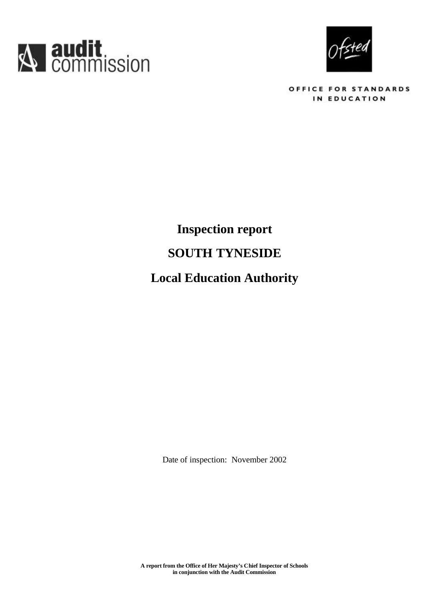



OFFICE FOR STANDARDS IN EDUCATION

# **Inspection report SOUTH TYNESIDE Local Education Authority**

Date of inspection: November 2002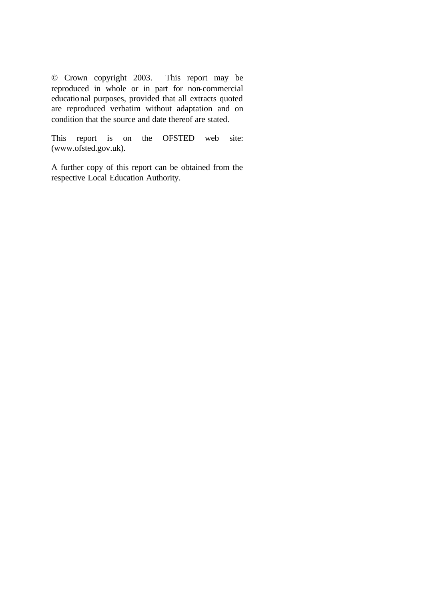© Crown copyright 2003. This report may be reproduced in whole or in part for non-commercial educational purposes, provided that all extracts quoted are reproduced verbatim without adaptation and on condition that the source and date thereof are stated.

This report is on the OFSTED web site: (www.ofsted.gov.uk).

A further copy of this report can be obtained from the respective Local Education Authority.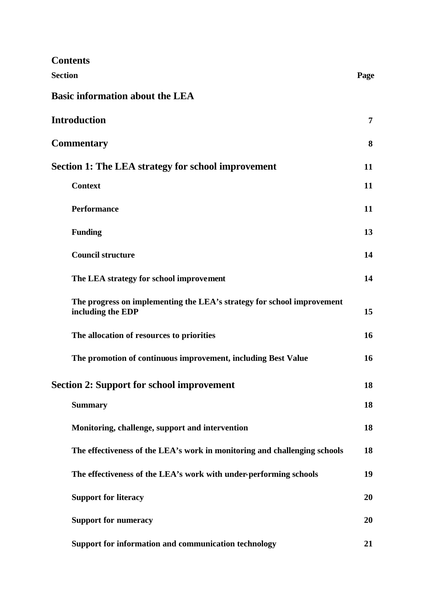| <b>Contents</b>                                                                             |           |
|---------------------------------------------------------------------------------------------|-----------|
| <b>Section</b>                                                                              | Page      |
| <b>Basic information about the LEA</b>                                                      |           |
| <b>Introduction</b>                                                                         | 7         |
| <b>Commentary</b>                                                                           | 8         |
| Section 1: The LEA strategy for school improvement                                          | 11        |
| <b>Context</b>                                                                              | 11        |
| <b>Performance</b>                                                                          | 11        |
| <b>Funding</b>                                                                              | 13        |
| <b>Council structure</b>                                                                    | 14        |
| The LEA strategy for school improvement                                                     | 14        |
| The progress on implementing the LEA's strategy for school improvement<br>including the EDP | 15        |
| The allocation of resources to priorities                                                   | 16        |
| The promotion of continuous improvement, including Best Value                               | <b>16</b> |
| <b>Section 2: Support for school improvement</b>                                            | 18        |
| <b>Summary</b>                                                                              | 18        |
| Monitoring, challenge, support and intervention                                             | 18        |
| The effectiveness of the LEA's work in monitoring and challenging schools                   | 18        |
| The effectiveness of the LEA's work with under-performing schools                           | 19        |
| <b>Support for literacy</b>                                                                 | 20        |
| <b>Support for numeracy</b>                                                                 | 20        |
| Support for information and communication technology                                        | 21        |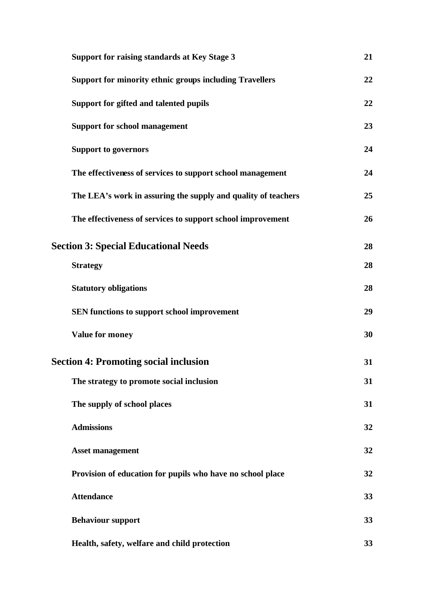| <b>Support for raising standards at Key Stage 3</b>            | 21 |
|----------------------------------------------------------------|----|
| <b>Support for minority ethnic groups including Travellers</b> | 22 |
| Support for gifted and talented pupils                         | 22 |
| <b>Support for school management</b>                           | 23 |
| <b>Support to governors</b>                                    | 24 |
| The effectiveness of services to support school management     | 24 |
| The LEA's work in assuring the supply and quality of teachers  | 25 |
| The effectiveness of services to support school improvement    | 26 |
| <b>Section 3: Special Educational Needs</b>                    | 28 |
| <b>Strategy</b>                                                | 28 |
| <b>Statutory obligations</b>                                   | 28 |
| SEN functions to support school improvement                    | 29 |
| <b>Value for money</b>                                         | 30 |
| <b>Section 4: Promoting social inclusion</b>                   | 31 |
| The strategy to promote social inclusion                       | 31 |
| The supply of school places                                    | 31 |
| <b>Admissions</b>                                              | 32 |
| <b>Asset management</b>                                        | 32 |
| Provision of education for pupils who have no school place     | 32 |
| <b>Attendance</b>                                              | 33 |
| <b>Behaviour support</b>                                       | 33 |
| Health, safety, welfare and child protection                   | 33 |
|                                                                |    |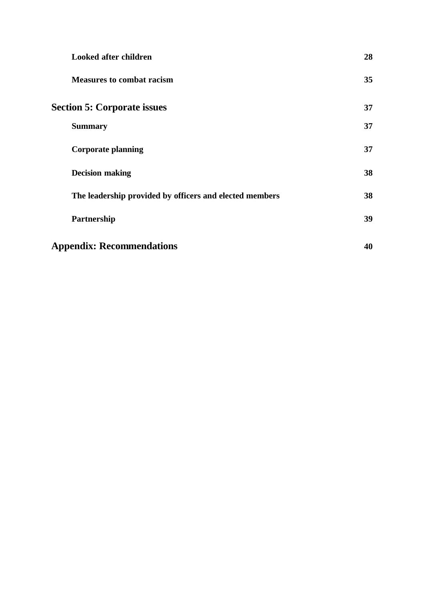| <b>Looked after children</b>                            | 28 |
|---------------------------------------------------------|----|
| <b>Measures to combat racism</b>                        | 35 |
| <b>Section 5: Corporate issues</b>                      | 37 |
| <b>Summary</b>                                          | 37 |
| <b>Corporate planning</b>                               | 37 |
| <b>Decision making</b>                                  | 38 |
| The leadership provided by officers and elected members | 38 |
| Partnership                                             | 39 |
| <b>Appendix: Recommendations</b>                        | 40 |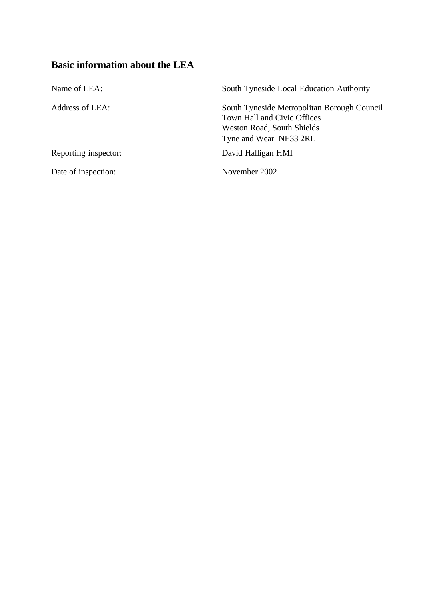# **Basic information about the LEA**

| Name of LEA:         | South Tyneside Local Education Authority                                                                                                  |
|----------------------|-------------------------------------------------------------------------------------------------------------------------------------------|
| Address of LEA:      | South Tyneside Metropolitan Borough Council<br>Town Hall and Civic Offices<br><b>Weston Road, South Shields</b><br>Tyne and Wear NE33 2RL |
| Reporting inspector: | David Halligan HMI                                                                                                                        |
| Date of inspection:  | November 2002                                                                                                                             |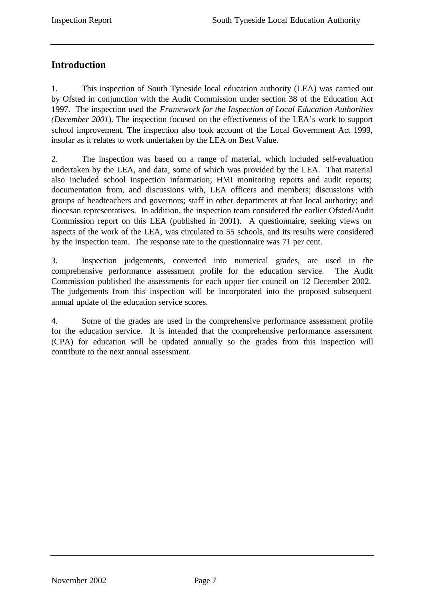# **Introduction**

1. This inspection of South Tyneside local education authority (LEA) was carried out by Ofsted in conjunction with the Audit Commission under section 38 of the Education Act 1997. The inspection used the *Framework for the Inspection of Local Education Authorities (December 2001*). The inspection focused on the effectiveness of the LEA's work to support school improvement. The inspection also took account of the Local Government Act 1999, insofar as it relates to work undertaken by the LEA on Best Value.

2. The inspection was based on a range of material, which included self-evaluation undertaken by the LEA, and data, some of which was provided by the LEA. That material also included school inspection information; HMI monitoring reports and audit reports; documentation from, and discussions with, LEA officers and members; discussions with groups of headteachers and governors; staff in other departments at that local authority; and diocesan representatives. In addition, the inspection team considered the earlier Ofsted/Audit Commission report on this LEA (published in 2001). A questionnaire, seeking views on aspects of the work of the LEA, was circulated to 55 schools, and its results were considered by the inspection team. The response rate to the questionnaire was 71 per cent.

3. Inspection judgements, converted into numerical grades, are used in the comprehensive performance assessment profile for the education service. The Audit Commission published the assessments for each upper tier council on 12 December 2002. The judgements from this inspection will be incorporated into the proposed subsequent annual update of the education service scores.

4. Some of the grades are used in the comprehensive performance assessment profile for the education service. It is intended that the comprehensive performance assessment (CPA) for education will be updated annually so the grades from this inspection will contribute to the next annual assessment.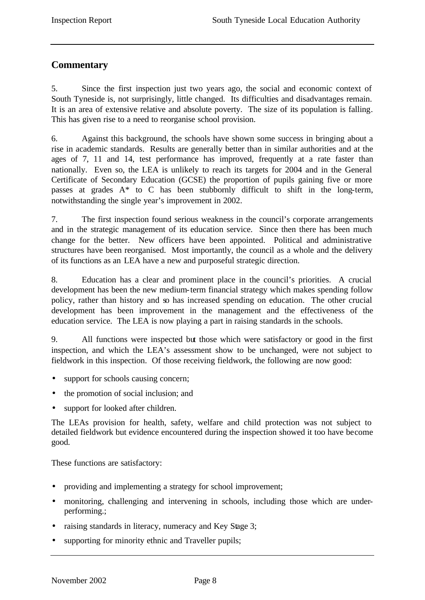# **Commentary**

5. Since the first inspection just two years ago, the social and economic context of South Tyneside is, not surprisingly, little changed. Its difficulties and disadvantages remain. It is an area of extensive relative and absolute poverty. The size of its population is falling. This has given rise to a need to reorganise school provision.

6. Against this background, the schools have shown some success in bringing about a rise in academic standards. Results are generally better than in similar authorities and at the ages of 7, 11 and 14, test performance has improved, frequently at a rate faster than nationally. Even so, the LEA is unlikely to reach its targets for 2004 and in the General Certificate of Secondary Education (GCSE) the proportion of pupils gaining five or more passes at grades A\* to C has been stubbornly difficult to shift in the long-term, notwithstanding the single year's improvement in 2002.

7. The first inspection found serious weakness in the council's corporate arrangements and in the strategic management of its education service. Since then there has been much change for the better. New officers have been appointed. Political and administrative structures have been reorganised. Most importantly, the council as a whole and the delivery of its functions as an LEA have a new and purposeful strategic direction.

8. Education has a clear and prominent place in the council's priorities. A crucial development has been the new medium-term financial strategy which makes spending follow policy, rather than history and so has increased spending on education. The other crucial development has been improvement in the management and the effectiveness of the education service. The LEA is now playing a part in raising standards in the schools.

9. All functions were inspected but those which were satisfactory or good in the first inspection, and which the LEA's assessment show to be unchanged, were not subject to fieldwork in this inspection. Of those receiving fieldwork, the following are now good:

- support for schools causing concern;
- the promotion of social inclusion; and
- support for looked after children.

The LEAs provision for health, safety, welfare and child protection was not subject to detailed fieldwork but evidence encountered during the inspection showed it too have become good.

These functions are satisfactory:

- providing and implementing a strategy for school improvement;
- monitoring, challenging and intervening in schools, including those which are underperforming.;
- raising standards in literacy, numeracy and Key Stage 3;
- supporting for minority ethnic and Traveller pupils;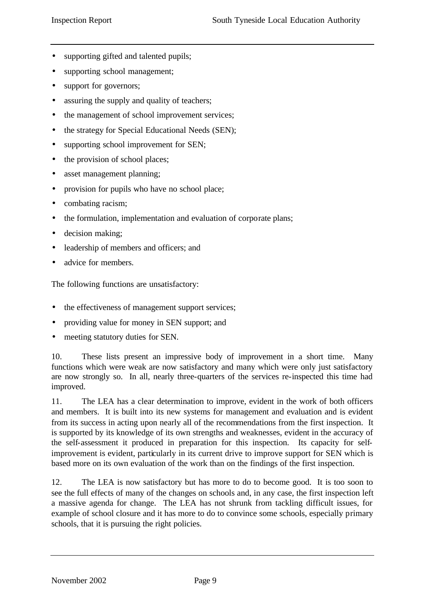- supporting gifted and talented pupils;
- supporting school management;
- support for governors;
- assuring the supply and quality of teachers;
- the management of school improvement services;
- the strategy for Special Educational Needs (SEN);
- supporting school improvement for SEN;
- the provision of school places;
- asset management planning;
- provision for pupils who have no school place;
- combating racism;
- the formulation, implementation and evaluation of corporate plans;
- decision making;
- leadership of members and officers; and
- advice for members.

The following functions are unsatisfactory:

- the effectiveness of management support services;
- providing value for money in SEN support; and
- meeting statutory duties for SEN.

10. These lists present an impressive body of improvement in a short time. Many functions which were weak are now satisfactory and many which were only just satisfactory are now strongly so. In all, nearly three-quarters of the services re-inspected this time had improved.

11. The LEA has a clear determination to improve, evident in the work of both officers and members. It is built into its new systems for management and evaluation and is evident from its success in acting upon nearly all of the recommendations from the first inspection. It is supported by its knowledge of its own strengths and weaknesses, evident in the accuracy of the self-assessment it produced in preparation for this inspection. Its capacity for selfimprovement is evident, particularly in its current drive to improve support for SEN which is based more on its own evaluation of the work than on the findings of the first inspection.

12. The LEA is now satisfactory but has more to do to become good. It is too soon to see the full effects of many of the changes on schools and, in any case, the first inspection left a massive agenda for change. The LEA has not shrunk from tackling difficult issues, for example of school closure and it has more to do to convince some schools, especially primary schools, that it is pursuing the right policies.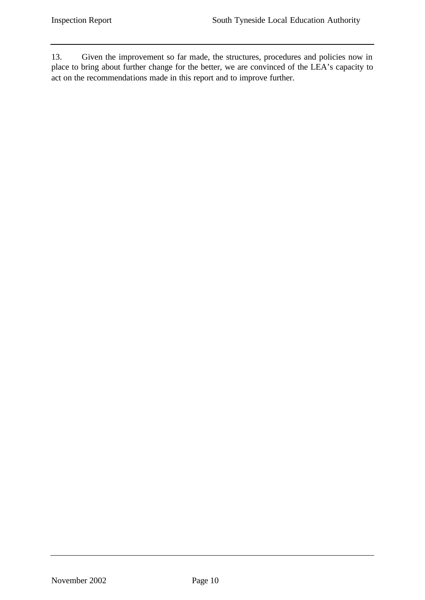13. Given the improvement so far made, the structures, procedures and policies now in place to bring about further change for the better, we are convinced of the LEA's capacity to act on the recommendations made in this report and to improve further.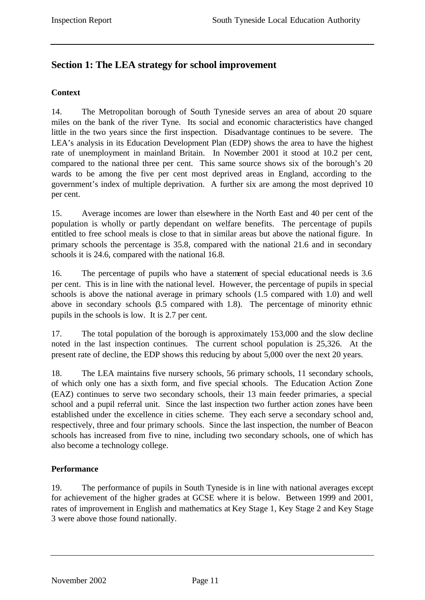# **Section 1: The LEA strategy for school improvement**

# **Context**

14. The Metropolitan borough of South Tyneside serves an area of about 20 square miles on the bank of the river Tyne. Its social and economic characteristics have changed little in the two years since the first inspection. Disadvantage continues to be severe. The LEA's analysis in its Education Development Plan (EDP) shows the area to have the highest rate of unemployment in mainland Britain. In November 2001 it stood at 10.2 per cent, compared to the national three per cent. This same source shows six of the borough's 20 wards to be among the five per cent most deprived areas in England, according to the government's index of multiple deprivation. A further six are among the most deprived 10 per cent.

15. Average incomes are lower than elsewhere in the North East and 40 per cent of the population is wholly or partly dependant on welfare benefits. The percentage of pupils entitled to free school meals is close to that in similar areas but above the national figure. In primary schools the percentage is 35.8, compared with the national 21.6 and in secondary schools it is 24.6, compared with the national 16.8.

16. The percentage of pupils who have a statement of special educational needs is 3.6 per cent. This is in line with the national level. However, the percentage of pupils in special schools is above the national average in primary schools (1.5 compared with 1.0) and well above in secondary schools  $6.5$  compared with 1.8). The percentage of minority ethnic pupils in the schools is low. It is 2.7 per cent.

17. The total population of the borough is approximately 153,000 and the slow decline noted in the last inspection continues. The current school population is 25,326. At the present rate of decline, the EDP shows this reducing by about 5,000 over the next 20 years.

18. The LEA maintains five nursery schools, 56 primary schools, 11 secondary schools, of which only one has a sixth form, and five special schools. The Education Action Zone (EAZ) continues to serve two secondary schools, their 13 main feeder primaries, a special school and a pupil referral unit. Since the last inspection two further action zones have been established under the excellence in cities scheme. They each serve a secondary school and, respectively, three and four primary schools. Since the last inspection, the number of Beacon schools has increased from five to nine, including two secondary schools, one of which has also become a technology college.

# **Performance**

19. The performance of pupils in South Tyneside is in line with national averages except for achievement of the higher grades at GCSE where it is below. Between 1999 and 2001, rates of improvement in English and mathematics at Key Stage 1, Key Stage 2 and Key Stage 3 were above those found nationally.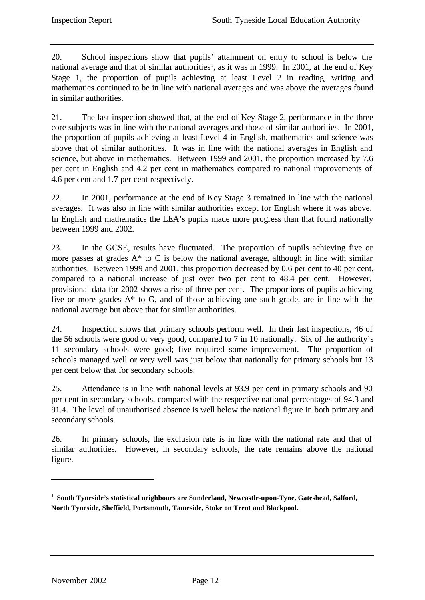20. School inspections show that pupils' attainment on entry to school is below the national average and that of similar authorities<sup>1</sup>, as it was in 1999. In 2001, at the end of Key Stage 1, the proportion of pupils achieving at least Level 2 in reading, writing and mathematics continued to be in line with national averages and was above the averages found in similar authorities.

21. The last inspection showed that, at the end of Key Stage 2, performance in the three core subjects was in line with the national averages and those of similar authorities. In 2001, the proportion of pupils achieving at least Level 4 in English, mathematics and science was above that of similar authorities. It was in line with the national averages in English and science, but above in mathematics. Between 1999 and 2001, the proportion increased by 7.6 per cent in English and 4.2 per cent in mathematics compared to national improvements of 4.6 per cent and 1.7 per cent respectively.

22. In 2001, performance at the end of Key Stage 3 remained in line with the national averages. It was also in line with similar authorities except for English where it was above. In English and mathematics the LEA's pupils made more progress than that found nationally between 1999 and 2002.

23. In the GCSE, results have fluctuated. The proportion of pupils achieving five or more passes at grades  $A^*$  to C is below the national average, although in line with similar authorities. Between 1999 and 2001, this proportion decreased by 0.6 per cent to 40 per cent, compared to a national increase of just over two per cent to 48.4 per cent. However, provisional data for 2002 shows a rise of three per cent. The proportions of pupils achieving five or more grades A\* to G, and of those achieving one such grade, are in line with the national average but above that for similar authorities.

24. Inspection shows that primary schools perform well. In their last inspections, 46 of the 56 schools were good or very good, compared to 7 in 10 nationally. Six of the authority's 11 secondary schools were good; five required some improvement. The proportion of schools managed well or very well was just below that nationally for primary schools but 13 per cent below that for secondary schools.

25. Attendance is in line with national levels at 93.9 per cent in primary schools and 90 per cent in secondary schools, compared with the respective national percentages of 94.3 and 91.4. The level of unauthorised absence is well below the national figure in both primary and secondary schools.

26. In primary schools, the exclusion rate is in line with the national rate and that of similar authorities. However, in secondary schools, the rate remains above the national figure.

l

<sup>&</sup>lt;sup>1</sup> South Tyneside's statistical neighbours are Sunderland, Newcastle-upon-Tyne, Gateshead, Salford, **North Tyneside, Sheffield, Portsmouth, Tameside, Stoke on Trent and Blackpool.**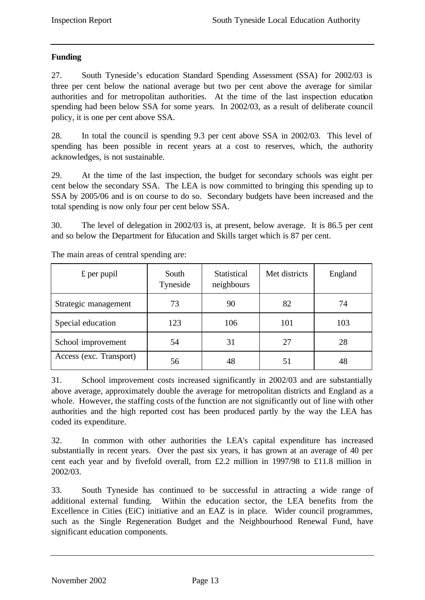# **Funding**

27. South Tyneside's education Standard Spending Assessment (SSA) for 2002/03 is three per cent below the national average but two per cent above the average for similar authorities and for metropolitan authorities. At the time of the last inspection education spending had been below SSA for some years. In 2002/03, as a result of deliberate council policy, it is one per cent above SSA.

28. In total the council is spending 9.3 per cent above SSA in 2002/03. This level of spending has been possible in recent years at a cost to reserves, which, the authority acknowledges, is not sustainable.

29. At the time of the last inspection, the budget for secondary schools was eight per cent below the secondary SSA. The LEA is now committed to bringing this spending up to SSA by 2005/06 and is on course to do so. Secondary budgets have been increased and the total spending is now only four per cent below SSA.

30. The level of delegation in 2002/03 is, at present, below average. It is 86.5 per cent and so below the Department for Education and Skills target which is 87 per cent.

| $\pounds$ per pupil     | South<br>Tyneside | <b>Statistical</b><br>neighbours | Met districts | England |
|-------------------------|-------------------|----------------------------------|---------------|---------|
| Strategic management    | 73                | 90                               | 82            | 74      |
| Special education       | 123               | 106                              | 101           | 103     |
| School improvement      | 54                | 31                               | 27            | 28      |
| Access (exc. Transport) | 56                | 48                               | 51            | 48      |

The main areas of central spending are:

31. School improvement costs increased significantly in 2002/03 and are substantially above average, approximately double the average for metropolitan districts and England as a whole. However, the staffing costs of the function are not significantly out of line with other authorities and the high reported cost has been produced partly by the way the LEA has coded its expenditure.

32. In common with other authorities the LEA's capital expenditure has increased substantially in recent years. Over the past six years, it has grown at an average of 40 per cent each year and by fivefold overall, from £2.2 million in 1997/98 to £11.8 million in 2002/03.

33. South Tyneside has continued to be successful in attracting a wide range of additional external funding. Within the education sector, the LEA benefits from the Excellence in Cities (EiC) initiative and an EAZ is in place. Wider council programmes, such as the Single Regeneration Budget and the Neighbourhood Renewal Fund, have significant education components.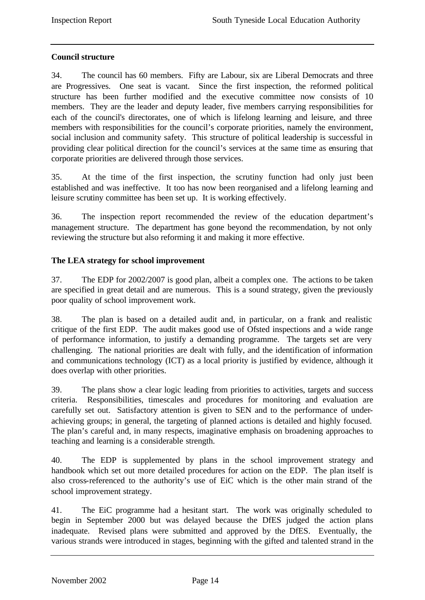# **Council structure**

34. The council has 60 members. Fifty are Labour, six are Liberal Democrats and three are Progressives. One seat is vacant. Since the first inspection, the reformed political structure has been further modified and the executive committee now consists of 10 members. They are the leader and deputy leader, five members carrying responsibilities for each of the council's directorates, one of which is lifelong learning and leisure, and three members with responsibilities for the council's corporate priorities, namely the environment, social inclusion and community safety. This structure of political leadership is successful in providing clear political direction for the council's services at the same time as ensuring that corporate priorities are delivered through those services.

35. At the time of the first inspection, the scrutiny function had only just been established and was ineffective. It too has now been reorganised and a lifelong learning and leisure scrutiny committee has been set up. It is working effectively.

36. The inspection report recommended the review of the education department's management structure. The department has gone beyond the recommendation, by not only reviewing the structure but also reforming it and making it more effective.

# **The LEA strategy for school improvement**

37. The EDP for 2002/2007 is good plan, albeit a complex one. The actions to be taken are specified in great detail and are numerous. This is a sound strategy, given the previously poor quality of school improvement work.

38. The plan is based on a detailed audit and, in particular, on a frank and realistic critique of the first EDP. The audit makes good use of Ofsted inspections and a wide range of performance information, to justify a demanding programme. The targets set are very challenging. The national priorities are dealt with fully, and the identification of information and communications technology (ICT) as a local priority is justified by evidence, although it does overlap with other priorities.

39. The plans show a clear logic leading from priorities to activities, targets and success criteria. Responsibilities, timescales and procedures for monitoring and evaluation are carefully set out. Satisfactory attention is given to SEN and to the performance of underachieving groups; in general, the targeting of planned actions is detailed and highly focused. The plan's careful and, in many respects, imaginative emphasis on broadening approaches to teaching and learning is a considerable strength.

40. The EDP is supplemented by plans in the school improvement strategy and handbook which set out more detailed procedures for action on the EDP. The plan itself is also cross-referenced to the authority's use of EiC which is the other main strand of the school improvement strategy.

41. The EiC programme had a hesitant start. The work was originally scheduled to begin in September 2000 but was delayed because the DfES judged the action plans inadequate. Revised plans were submitted and approved by the DfES. Eventually, the various strands were introduced in stages, beginning with the gifted and talented strand in the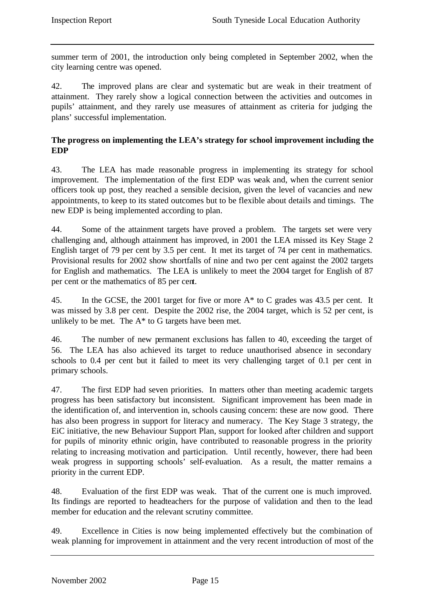summer term of 2001, the introduction only being completed in September 2002, when the city learning centre was opened.

42. The improved plans are clear and systematic but are weak in their treatment of attainment. They rarely show a logical connection between the activities and outcomes in pupils' attainment, and they rarely use measures of attainment as criteria for judging the plans' successful implementation.

# **The progress on implementing the LEA's strategy for school improvement including the EDP**

43. The LEA has made reasonable progress in implementing its strategy for school improvement. The implementation of the first EDP was weak and, when the current senior officers took up post, they reached a sensible decision, given the level of vacancies and new appointments, to keep to its stated outcomes but to be flexible about details and timings. The new EDP is being implemented according to plan.

44. Some of the attainment targets have proved a problem. The targets set were very challenging and, although attainment has improved, in 2001 the LEA missed its Key Stage 2 English target of 79 per cent by 3.5 per cent. It met its target of 74 per cent in mathematics. Provisional results for 2002 show shortfalls of nine and two per cent against the 2002 targets for English and mathematics. The LEA is unlikely to meet the 2004 target for English of 87 per cent or the mathematics of 85 per cent.

45. In the GCSE, the 2001 target for five or more A\* to C grades was 43.5 per cent. It was missed by 3.8 per cent. Despite the 2002 rise, the 2004 target, which is 52 per cent, is unlikely to be met. The  $A^*$  to G targets have been met.

46. The number of new permanent exclusions has fallen to 40, exceeding the target of 56. The LEA has also achieved its target to reduce unauthorised absence in secondary schools to 0.4 per cent but it failed to meet its very challenging target of 0.1 per cent in primary schools.

47. The first EDP had seven priorities. In matters other than meeting academic targets progress has been satisfactory but inconsistent. Significant improvement has been made in the identification of, and intervention in, schools causing concern: these are now good. There has also been progress in support for literacy and numeracy. The Key Stage 3 strategy, the EiC initiative, the new Behaviour Support Plan, support for looked after children and support for pupils of minority ethnic origin, have contributed to reasonable progress in the priority relating to increasing motivation and participation. Until recently, however, there had been weak progress in supporting schools' self-evaluation. As a result, the matter remains a priority in the current EDP.

48. Evaluation of the first EDP was weak. That of the current one is much improved. Its findings are reported to headteachers for the purpose of validation and then to the lead member for education and the relevant scrutiny committee.

49. Excellence in Cities is now being implemented effectively but the combination of weak planning for improvement in attainment and the very recent introduction of most of the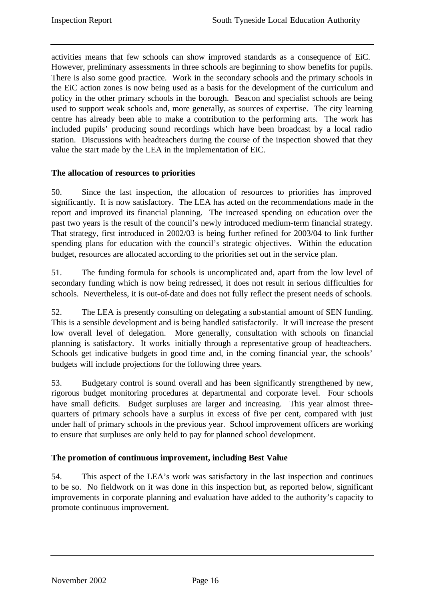activities means that few schools can show improved standards as a consequence of EiC. However, preliminary assessments in three schools are beginning to show benefits for pupils. There is also some good practice. Work in the secondary schools and the primary schools in the EiC action zones is now being used as a basis for the development of the curriculum and policy in the other primary schools in the borough. Beacon and specialist schools are being used to support weak schools and, more generally, as sources of expertise. The city learning centre has already been able to make a contribution to the performing arts. The work has included pupils' producing sound recordings which have been broadcast by a local radio station. Discussions with headteachers during the course of the inspection showed that they value the start made by the LEA in the implementation of EiC.

# **The allocation of resources to priorities**

50. Since the last inspection, the allocation of resources to priorities has improved significantly. It is now satisfactory. The LEA has acted on the recommendations made in the report and improved its financial planning. The increased spending on education over the past two years is the result of the council's newly introduced medium-term financial strategy. That strategy, first introduced in 2002/03 is being further refined for 2003/04 to link further spending plans for education with the council's strategic objectives. Within the education budget, resources are allocated according to the priorities set out in the service plan.

51. The funding formula for schools is uncomplicated and, apart from the low level of secondary funding which is now being redressed, it does not result in serious difficulties for schools. Nevertheless, it is out-of-date and does not fully reflect the present needs of schools.

52. The LEA is presently consulting on delegating a substantial amount of SEN funding. This is a sensible development and is being handled satisfactorily. It will increase the present low overall level of delegation. More generally, consultation with schools on financial planning is satisfactory. It works initially through a representative group of headteachers. Schools get indicative budgets in good time and, in the coming financial year, the schools' budgets will include projections for the following three years.

53. Budgetary control is sound overall and has been significantly strengthened by new, rigorous budget monitoring procedures at departmental and corporate level. Four schools have small deficits. Budget surpluses are larger and increasing. This year almost threequarters of primary schools have a surplus in excess of five per cent, compared with just under half of primary schools in the previous year. School improvement officers are working to ensure that surpluses are only held to pay for planned school development.

# **The promotion of continuous improvement, including Best Value**

54. This aspect of the LEA's work was satisfactory in the last inspection and continues to be so. No fieldwork on it was done in this inspection but, as reported below, significant improvements in corporate planning and evaluation have added to the authority's capacity to promote continuous improvement.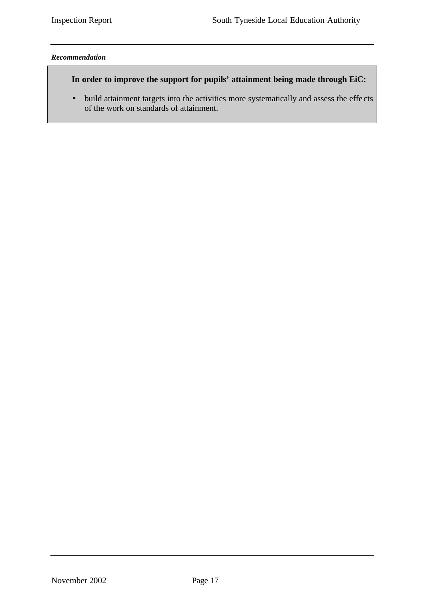#### *Recommendation*

# **In order to improve the support for pupils' attainment being made through EiC:**

• build attainment targets into the activities more systematically and assess the effe cts of the work on standards of attainment.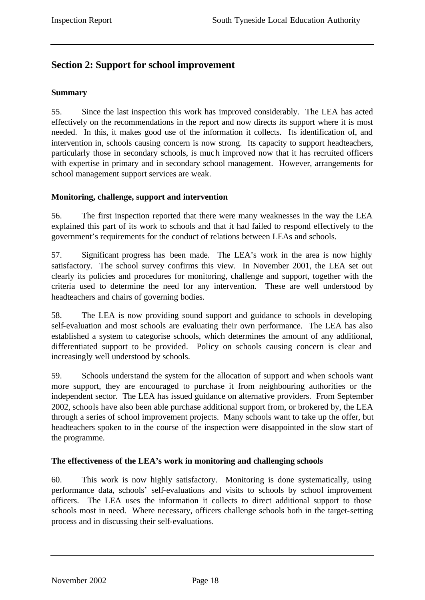# **Section 2: Support for school improvement**

#### **Summary**

55. Since the last inspection this work has improved considerably. The LEA has acted effectively on the recommendations in the report and now directs its support where it is most needed. In this, it makes good use of the information it collects. Its identification of, and intervention in, schools causing concern is now strong. Its capacity to support headteachers, particularly those in secondary schools, is much improved now that it has recruited officers with expertise in primary and in secondary school management. However, arrangements for school management support services are weak.

# **Monitoring, challenge, support and intervention**

56. The first inspection reported that there were many weaknesses in the way the LEA explained this part of its work to schools and that it had failed to respond effectively to the government's requirements for the conduct of relations between LEAs and schools.

57. Significant progress has been made. The LEA's work in the area is now highly satisfactory. The school survey confirms this view. In November 2001, the LEA set out clearly its policies and procedures for monitoring, challenge and support, together with the criteria used to determine the need for any intervention. These are well understood by headteachers and chairs of governing bodies.

58. The LEA is now providing sound support and guidance to schools in developing self-evaluation and most schools are evaluating their own performance. The LEA has also established a system to categorise schools, which determines the amount of any additional, differentiated support to be provided. Policy on schools causing concern is clear and increasingly well understood by schools.

59. Schools understand the system for the allocation of support and when schools want more support, they are encouraged to purchase it from neighbouring authorities or the independent sector. The LEA has issued guidance on alternative providers. From September 2002, schools have also been able purchase additional support from, or brokered by, the LEA through a series of school improvement projects. Many schools want to take up the offer, but headteachers spoken to in the course of the inspection were disappointed in the slow start of the programme.

# **The effectiveness of the LEA's work in monitoring and challenging schools**

60. This work is now highly satisfactory. Monitoring is done systematically, using performance data, schools' self-evaluations and visits to schools by school improvement officers. The LEA uses the information it collects to direct additional support to those schools most in need. Where necessary, officers challenge schools both in the target-setting process and in discussing their self-evaluations.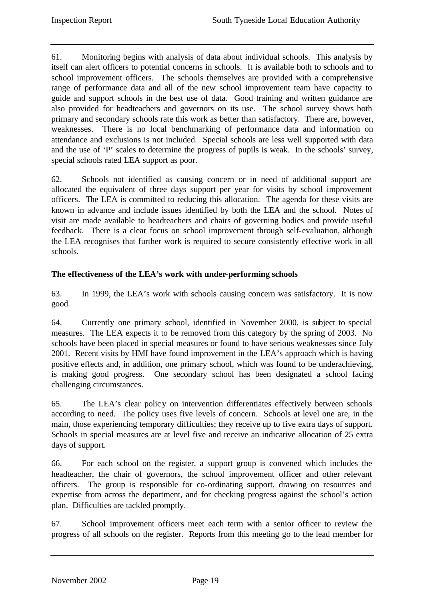61. Monitoring begins with analysis of data about individual schools. This analysis by itself can alert officers to potential concerns in schools. It is available both to schools and to school improvement officers. The schools themselves are provided with a comprehensive range of performance data and all of the new school improvement team have capacity to guide and support schools in the best use of data. Good training and written guidance are also provided for headteachers and governors on its use. The school survey shows both primary and secondary schools rate this work as better than satisfactory. There are, however, weaknesses. There is no local benchmarking of performance data and information on attendance and exclusions is not included. Special schools are less well supported with data and the use of 'P' scales to determine the progress of pupils is weak. In the schools' survey, special schools rated LEA support as poor.

62. Schools not identified as causing concern or in need of additional support are allocated the equivalent of three days support per year for visits by school improvement officers. The LEA is committed to reducing this allocation. The agenda for these visits are known in advance and include issues identified by both the LEA and the school. Notes of visit are made available to headteachers and chairs of governing bodies and provide useful feedback. There is a clear focus on school improvement through self-evaluation, although the LEA recognises that further work is required to secure consistently effective work in all schools.

# **The effectiveness of the LEA's work with under-performing schools**

63. In 1999, the LEA's work with schools causing concern was satisfactory. It is now good.

64. Currently one primary school, identified in November 2000, is subject to special measures. The LEA expects it to be removed from this category by the spring of 2003. No schools have been placed in special measures or found to have serious weaknesses since July 2001. Recent visits by HMI have found improvement in the LEA's approach which is having positive effects and, in addition, one primary school, which was found to be underachieving, is making good progress. One secondary school has been designated a school facing challenging circumstances.

65. The LEA's clear policy on intervention differentiates effectively between schools according to need. The policy uses five levels of concern. Schools at level one are, in the main, those experiencing temporary difficulties; they receive up to five extra days of support. Schools in special measures are at level five and receive an indicative allocation of 25 extra days of support.

66. For each school on the register, a support group is convened which includes the headteacher, the chair of governors, the school improvement officer and other relevant officers. The group is responsible for co-ordinating support, drawing on resources and expertise from across the department, and for checking progress against the school's action plan. Difficulties are tackled promptly.

67. School improvement officers meet each term with a senior officer to review the progress of all schools on the register. Reports from this meeting go to the lead member for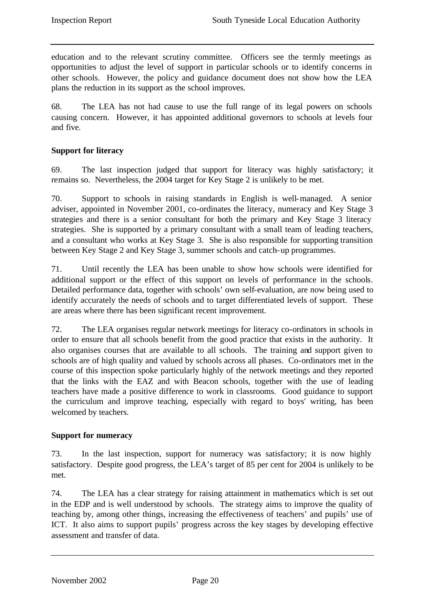education and to the relevant scrutiny committee. Officers see the termly meetings as opportunities to adjust the level of support in particular schools or to identify concerns in other schools. However, the policy and guidance document does not show how the LEA plans the reduction in its support as the school improves.

68. The LEA has not had cause to use the full range of its legal powers on schools causing concern. However, it has appointed additional governors to schools at levels four and five.

# **Support for literacy**

69. The last inspection judged that support for literacy was highly satisfactory; it remains so. Nevertheless, the 2004 target for Key Stage 2 is unlikely to be met.

70. Support to schools in raising standards in English is well-managed. A senior adviser, appointed in November 2001, co-ordinates the literacy, numeracy and Key Stage 3 strategies and there is a senior consultant for both the primary and Key Stage 3 literacy strategies. She is supported by a primary consultant with a small team of leading teachers, and a consultant who works at Key Stage 3. She is also responsible for supporting transition between Key Stage 2 and Key Stage 3, summer schools and catch–up programmes.

71. Until recently the LEA has been unable to show how schools were identified for additional support or the effect of this support on levels of performance in the schools. Detailed performance data, together with schools' own self-evaluation, are now being used to identify accurately the needs of schools and to target differentiated levels of support. These are areas where there has been significant recent improvement.

72. The LEA organises regular network meetings for literacy co-ordinators in schools in order to ensure that all schools benefit from the good practice that exists in the authority. It also organises courses that are available to all schools. The training and support given to schools are of high quality and valued by schools across all phases. Co-ordinators met in the course of this inspection spoke particularly highly of the network meetings and they reported that the links with the EAZ and with Beacon schools, together with the use of leading teachers have made a positive difference to work in classrooms. Good guidance to support the curriculum and improve teaching, especially with regard to boys' writing, has been welcomed by teachers.

# **Support for numeracy**

73. In the last inspection, support for numeracy was satisfactory; it is now highly satisfactory. Despite good progress, the LEA's target of 85 per cent for 2004 is unlikely to be met.

74. The LEA has a clear strategy for raising attainment in mathematics which is set out in the EDP and is well understood by schools. The strategy aims to improve the quality of teaching by, among other things, increasing the effectiveness of teachers' and pupils' use of ICT. It also aims to support pupils' progress across the key stages by developing effective assessment and transfer of data.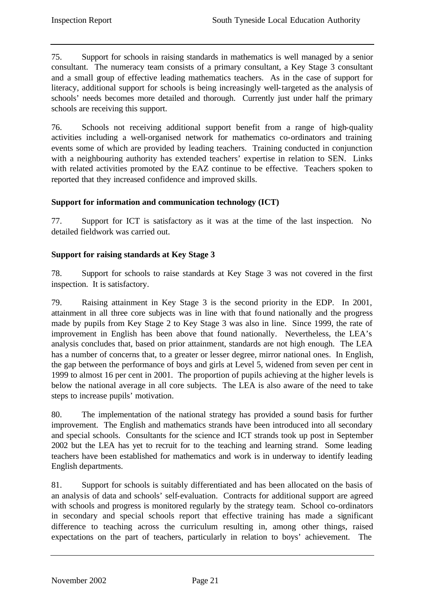75. Support for schools in raising standards in mathematics is well managed by a senior consultant. The numeracy team consists of a primary consultant, a Key Stage 3 consultant and a small group of effective leading mathematics teachers. As in the case of support for literacy, additional support for schools is being increasingly well-targeted as the analysis of schools' needs becomes more detailed and thorough. Currently just under half the primary schools are receiving this support.

76. Schools not receiving additional support benefit from a range of high-quality activities including a well-organised network for mathematics co-ordinators and training events some of which are provided by leading teachers. Training conducted in conjunction with a neighbouring authority has extended teachers' expertise in relation to SEN. Links with related activities promoted by the EAZ continue to be effective. Teachers spoken to reported that they increased confidence and improved skills.

# **Support for information and communication technology (ICT)**

77. Support for ICT is satisfactory as it was at the time of the last inspection. No detailed fieldwork was carried out.

# **Support for raising standards at Key Stage 3**

78. Support for schools to raise standards at Key Stage 3 was not covered in the first inspection. It is satisfactory.

79. Raising attainment in Key Stage 3 is the second priority in the EDP. In 2001, attainment in all three core subjects was in line with that found nationally and the progress made by pupils from Key Stage 2 to Key Stage 3 was also in line. Since 1999, the rate of improvement in English has been above that found nationally. Nevertheless, the LEA's analysis concludes that, based on prior attainment, standards are not high enough. The LEA has a number of concerns that, to a greater or lesser degree, mirror national ones. In English, the gap between the performance of boys and girls at Level 5, widened from seven per cent in 1999 to almost 16 per cent in 2001. The proportion of pupils achieving at the higher levels is below the national average in all core subjects. The LEA is also aware of the need to take steps to increase pupils' motivation.

80. The implementation of the national strategy has provided a sound basis for further improvement. The English and mathematics strands have been introduced into all secondary and special schools. Consultants for the science and ICT strands took up post in September 2002 but the LEA has yet to recruit for to the teaching and learning strand. Some leading teachers have been established for mathematics and work is in underway to identify leading English departments.

81. Support for schools is suitably differentiated and has been allocated on the basis of an analysis of data and schools' self-evaluation. Contracts for additional support are agreed with schools and progress is monitored regularly by the strategy team. School co-ordinators in secondary and special schools report that effective training has made a significant difference to teaching across the curriculum resulting in, among other things, raised expectations on the part of teachers, particularly in relation to boys' achievement. The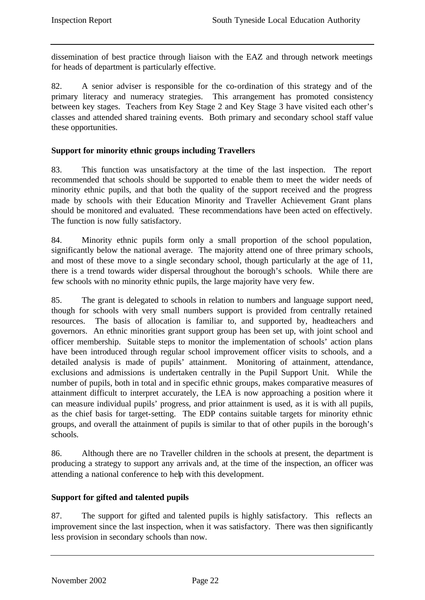dissemination of best practice through liaison with the EAZ and through network meetings for heads of department is particularly effective.

82. A senior adviser is responsible for the co-ordination of this strategy and of the primary literacy and numeracy strategies. This arrangement has promoted consistency between key stages. Teachers from Key Stage 2 and Key Stage 3 have visited each other's classes and attended shared training events. Both primary and secondary school staff value these opportunities.

# **Support for minority ethnic groups including Travellers**

83. This function was unsatisfactory at the time of the last inspection. The report recommended that schools should be supported to enable them to meet the wider needs of minority ethnic pupils, and that both the quality of the support received and the progress made by schools with their Education Minority and Traveller Achievement Grant plans should be monitored and evaluated. These recommendations have been acted on effectively. The function is now fully satisfactory.

84. Minority ethnic pupils form only a small proportion of the school population, significantly below the national average. The majority attend one of three primary schools, and most of these move to a single secondary school, though particularly at the age of 11, there is a trend towards wider dispersal throughout the borough's schools. While there are few schools with no minority ethnic pupils, the large majority have very few.

85. The grant is delegated to schools in relation to numbers and language support need, though for schools with very small numbers support is provided from centrally retained resources. The basis of allocation is familiar to, and supported by, headteachers and governors. An ethnic minorities grant support group has been set up, with joint school and officer membership. Suitable steps to monitor the implementation of schools' action plans have been introduced through regular school improvement officer visits to schools, and a detailed analysis is made of pupils' attainment. Monitoring of attainment, attendance, exclusions and admissions is undertaken centrally in the Pupil Support Unit. While the number of pupils, both in total and in specific ethnic groups, makes comparative measures of attainment difficult to interpret accurately, the LEA is now approaching a position where it can measure individual pupils' progress, and prior attainment is used, as it is with all pupils, as the chief basis for target-setting. The EDP contains suitable targets for minority ethnic groups, and overall the attainment of pupils is similar to that of other pupils in the borough's schools.

86. Although there are no Traveller children in the schools at present, the department is producing a strategy to support any arrivals and, at the time of the inspection, an officer was attending a national conference to help with this development.

# **Support for gifted and talented pupils**

87. The support for gifted and talented pupils is highly satisfactory. This reflects an improvement since the last inspection, when it was satisfactory. There was then significantly less provision in secondary schools than now.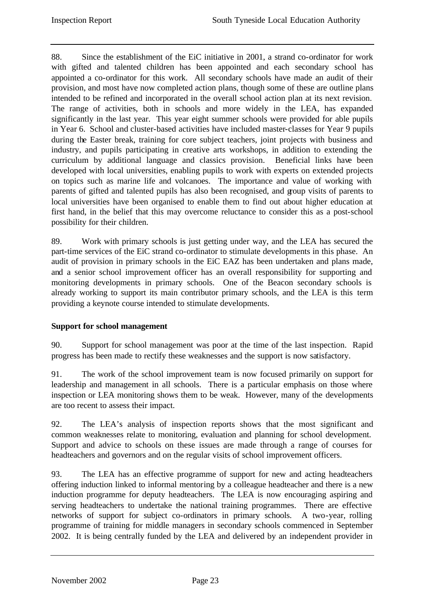88. Since the establishment of the EiC initiative in 2001, a strand co-ordinator for work with gifted and talented children has been appointed and each secondary school has appointed a co-ordinator for this work. All secondary schools have made an audit of their provision, and most have now completed action plans, though some of these are outline plans intended to be refined and incorporated in the overall school action plan at its next revision. The range of activities, both in schools and more widely in the LEA, has expanded significantly in the last year. This year eight summer schools were provided for able pupils in Year 6. School and cluster-based activities have included master-classes for Year 9 pupils during the Easter break, training for core subject teachers, joint projects with business and industry, and pupils participating in creative arts workshops, in addition to extending the curriculum by additional language and classics provision. Beneficial links have been developed with local universities, enabling pupils to work with experts on extended projects on topics such as marine life and volcanoes. The importance and value of working with parents of gifted and talented pupils has also been recognised, and group visits of parents to local universities have been organised to enable them to find out about higher education at first hand, in the belief that this may overcome reluctance to consider this as a post-school possibility for their children.

89. Work with primary schools is just getting under way, and the LEA has secured the part-time services of the EiC strand co-ordinator to stimulate developments in this phase. An audit of provision in primary schools in the EiC EAZ has been undertaken and plans made, and a senior school improvement officer has an overall responsibility for supporting and monitoring developments in primary schools. One of the Beacon secondary schools is already working to support its main contributor primary schools, and the LEA is this term providing a keynote course intended to stimulate developments.

# **Support for school management**

90. Support for school management was poor at the time of the last inspection. Rapid progress has been made to rectify these weaknesses and the support is now satisfactory.

91. The work of the school improvement team is now focused primarily on support for leadership and management in all schools. There is a particular emphasis on those where inspection or LEA monitoring shows them to be weak. However, many of the developments are too recent to assess their impact.

92. The LEA's analysis of inspection reports shows that the most significant and common weaknesses relate to monitoring, evaluation and planning for school development. Support and advice to schools on these issues are made through a range of courses for headteachers and governors and on the regular visits of school improvement officers.

93. The LEA has an effective programme of support for new and acting headteachers offering induction linked to informal mentoring by a colleague headteacher and there is a new induction programme for deputy headteachers. The LEA is now encouraging aspiring and serving headteachers to undertake the national training programmes. There are effective networks of support for subject co-ordinators in primary schools. A two-year, rolling programme of training for middle managers in secondary schools commenced in September 2002. It is being centrally funded by the LEA and delivered by an independent provider in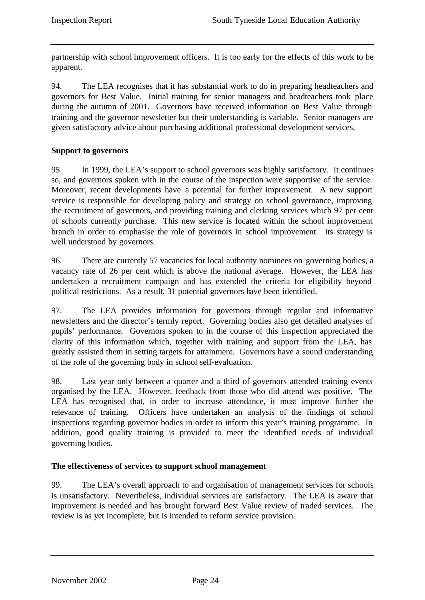partnership with school improvement officers. It is too early for the effects of this work to be apparent.

94. The LEA recognises that it has substantial work to do in preparing headteachers and governors for Best Value. Initial training for senior managers and headteachers took place during the autumn of 2001. Governors have received information on Best Value through training and the governor newsletter but their understanding is variable. Senior managers are given satisfactory advice about purchasing additional professional development services.

# **Support to governors**

95. In 1999, the LEA's support to school governors was highly satisfactory. It continues so, and governors spoken with in the course of the inspection were supportive of the service. Moreover, recent developments have a potential for further improvement. A new support service is responsible for developing policy and strategy on school governance, improving the recruitment of governors, and providing training and clerking services which 97 per cent of schools currently purchase. This new service is located within the school improvement branch in order to emphasise the role of governors in school improvement. Its strategy is well understood by governors.

96. There are currently 57 vacancies for local authority nominees on governing bodies, a vacancy rate of 26 per cent which is above the national average. However, the LEA has undertaken a recruitment campaign and has extended the criteria for eligibility beyond political restrictions. As a result, 31 potential governors have been identified.

97. The LEA provides information for governors through regular and informative newsletters and the director's termly report. Governing bodies also get detailed analyses of pupils' performance. Governors spoken to in the course of this inspection appreciated the clarity of this information which, together with training and support from the LEA, has greatly assisted them in setting targets for attainment. Governors have a sound understanding of the role of the governing body in school self-evaluation.

98. Last year only between a quarter and a third of governors attended training events organised by the LEA. However, feedback from those who did attend was positive. The LEA has recognised that, in order to increase attendance, it must improve further the relevance of training. Officers have undertaken an analysis of the findings of school inspections regarding governor bodies in order to inform this year's training programme. In addition, good quality training is provided to meet the identified needs of individual governing bodies.

# **The effectiveness of services to support school management**

99. The LEA's overall approach to and organisation of management services for schools is unsatisfactory. Nevertheless, individual services are satisfactory. The LEA is aware that improvement is needed and has brought forward Best Value review of traded services. The review is as yet incomplete, but is intended to reform service provision.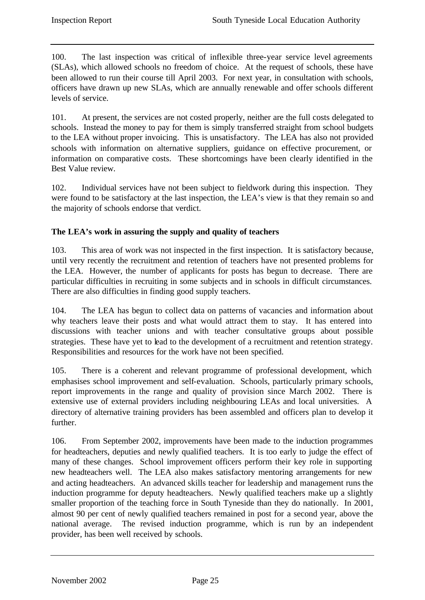100. The last inspection was critical of inflexible three-year service level agreements (SLAs), which allowed schools no freedom of choice. At the request of schools, these have been allowed to run their course till April 2003. For next year, in consultation with schools, officers have drawn up new SLAs, which are annually renewable and offer schools different levels of service.

101. At present, the services are not costed properly, neither are the full costs delegated to schools. Instead the money to pay for them is simply transferred straight from school budgets to the LEA without proper invoicing. This is unsatisfactory. The LEA has also not provided schools with information on alternative suppliers, guidance on effective procurement, or information on comparative costs. These shortcomings have been clearly identified in the Best Value review.

102. Individual services have not been subject to fieldwork during this inspection. They were found to be satisfactory at the last inspection, the LEA's view is that they remain so and the majority of schools endorse that verdict.

# **The LEA's work in assuring the supply and quality of teachers**

103. This area of work was not inspected in the first inspection. It is satisfactory because, until very recently the recruitment and retention of teachers have not presented problems for the LEA. However, the number of applicants for posts has begun to decrease. There are particular difficulties in recruiting in some subjects and in schools in difficult circumstances. There are also difficulties in finding good supply teachers.

104. The LEA has begun to collect data on patterns of vacancies and information about why teachers leave their posts and what would attract them to stay. It has entered into discussions with teacher unions and with teacher consultative groups about possible strategies. These have yet to lead to the development of a recruitment and retention strategy. Responsibilities and resources for the work have not been specified.

105. There is a coherent and relevant programme of professional development, which emphasises school improvement and self-evaluation. Schools, particularly primary schools, report improvements in the range and quality of provision since March 2002. There is extensive use of external providers including neighbouring LEAs and local universities. A directory of alternative training providers has been assembled and officers plan to develop it further.

106. From September 2002, improvements have been made to the induction programmes for headteachers, deputies and newly qualified teachers. It is too early to judge the effect of many of these changes. School improvement officers perform their key role in supporting new headteachers well. The LEA also makes satisfactory mentoring arrangements for new and acting headteachers. An advanced skills teacher for leadership and management runs the induction programme for deputy headteachers. Newly qualified teachers make up a slightly smaller proportion of the teaching force in South Tyneside than they do nationally. In 2001, almost 90 per cent of newly qualified teachers remained in post for a second year, above the national average. The revised induction programme, which is run by an independent provider, has been well received by schools.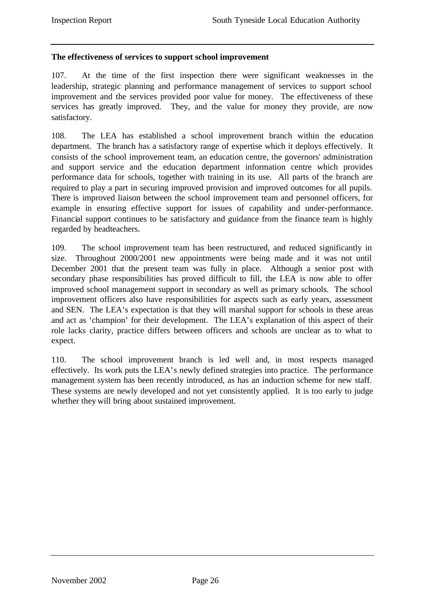# **The effectiveness of services to support school improvement**

107. At the time of the first inspection there were significant weaknesses in the leadership, strategic planning and performance management of services to support school improvement and the services provided poor value for money. The effectiveness of these services has greatly improved. They, and the value for money they provide, are now satisfactory.

108. The LEA has established a school improvement branch within the education department. The branch has a satisfactory range of expertise which it deploys effectively. It consists of the school improvement team, an education centre, the governors' administration and support service and the education department information centre which provides performance data for schools, together with training in its use. All parts of the branch are required to play a part in securing improved provision and improved outcomes for all pupils. There is improved liaison between the school improvement team and personnel officers, for example in ensuring effective support for issues of capability and under-performance. Financial support continues to be satisfactory and guidance from the finance team is highly regarded by headteachers.

109. The school improvement team has been restructured, and reduced significantly in size. Throughout 2000/2001 new appointments were being made and it was not until December 2001 that the present team was fully in place. Although a senior post with secondary phase responsibilities has proved difficult to fill, the LEA is now able to offer improved school management support in secondary as well as primary schools. The school improvement officers also have responsibilities for aspects such as early years, assessment and SEN. The LEA's expectation is that they will marshal support for schools in these areas and act as 'champion' for their development. The LEA's explanation of this aspect of their role lacks clarity, practice differs between officers and schools are unclear as to what to expect.

110. The school improvement branch is led well and, in most respects managed effectively. Its work puts the LEA's newly defined strategies into practice. The performance management system has been recently introduced, as has an induction scheme for new staff. These systems are newly developed and not yet consistently applied. It is too early to judge whether they will bring about sustained improvement.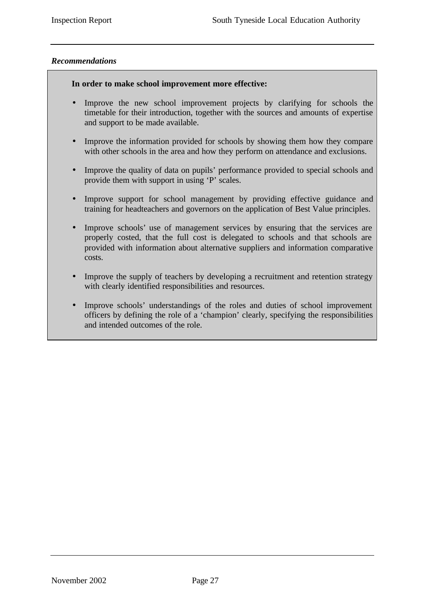# *Recommendations*

#### **In order to make school improvement more effective:**

- Improve the new school improvement projects by clarifying for schools the timetable for their introduction, together with the sources and amounts of expertise and support to be made available.
- Improve the information provided for schools by showing them how they compare with other schools in the area and how they perform on attendance and exclusions.
- Improve the quality of data on pupils' performance provided to special schools and provide them with support in using 'P' scales.
- Improve support for school management by providing effective guidance and training for headteachers and governors on the application of Best Value principles.
- Improve schools' use of management services by ensuring that the services are properly costed, that the full cost is delegated to schools and that schools are provided with information about alternative suppliers and information comparative costs.
- Improve the supply of teachers by developing a recruitment and retention strategy with clearly identified responsibilities and resources.
- Improve schools' understandings of the roles and duties of school improvement officers by defining the role of a 'champion' clearly, specifying the responsibilities and intended outcomes of the role.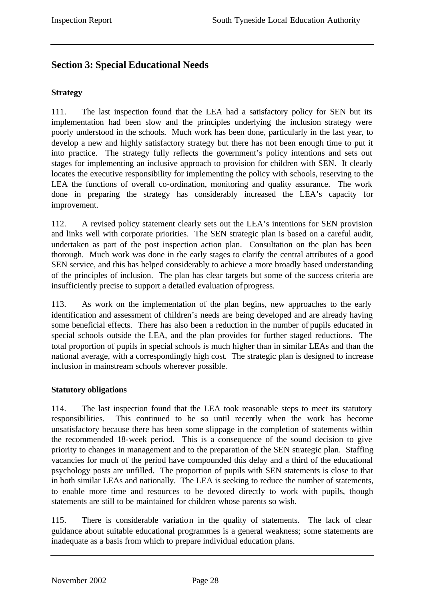# **Section 3: Special Educational Needs**

#### **Strategy**

111. The last inspection found that the LEA had a satisfactory policy for SEN but its implementation had been slow and the principles underlying the inclusion strategy were poorly understood in the schools. Much work has been done, particularly in the last year, to develop a new and highly satisfactory strategy but there has not been enough time to put it into practice. The strategy fully reflects the government's policy intentions and sets out stages for implementing an inclusive approach to provision for children with SEN. It clearly locates the executive responsibility for implementing the policy with schools, reserving to the LEA the functions of overall co-ordination, monitoring and quality assurance. The work done in preparing the strategy has considerably increased the LEA's capacity for improvement.

112. A revised policy statement clearly sets out the LEA's intentions for SEN provision and links well with corporate priorities. The SEN strategic plan is based on a careful audit, undertaken as part of the post inspection action plan. Consultation on the plan has been thorough. Much work was done in the early stages to clarify the central attributes of a good SEN service, and this has helped considerably to achieve a more broadly based understanding of the principles of inclusion. The plan has clear targets but some of the success criteria are insufficiently precise to support a detailed evaluation of progress.

113. As work on the implementation of the plan begins, new approaches to the early identification and assessment of children's needs are being developed and are already having some beneficial effects. There has also been a reduction in the number of pupils educated in special schools outside the LEA, and the plan provides for further staged reductions. The total proportion of pupils in special schools is much higher than in similar LEAs and than the national average, with a correspondingly high cost. The strategic plan is designed to increase inclusion in mainstream schools wherever possible.

# **Statutory obligations**

114. The last inspection found that the LEA took reasonable steps to meet its statutory responsibilities. This continued to be so until recently when the work has become unsatisfactory because there has been some slippage in the completion of statements within the recommended 18-week period. This is a consequence of the sound decision to give priority to changes in management and to the preparation of the SEN strategic plan. Staffing vacancies for much of the period have compounded this delay and a third of the educational psychology posts are unfilled. The proportion of pupils with SEN statements is close to that in both similar LEAs and nationally. The LEA is seeking to reduce the number of statements, to enable more time and resources to be devoted directly to work with pupils, though statements are still to be maintained for children whose parents so wish.

115. There is considerable variation in the quality of statements. The lack of clear guidance about suitable educational programmes is a general weakness; some statements are inadequate as a basis from which to prepare individual education plans.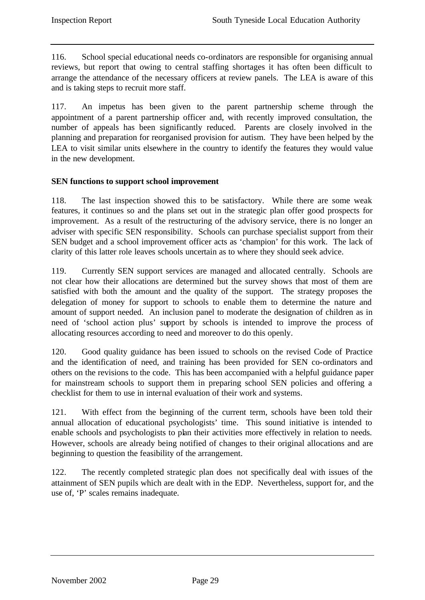116. School special educational needs co-ordinators are responsible for organising annual reviews, but report that owing to central staffing shortages it has often been difficult to arrange the attendance of the necessary officers at review panels. The LEA is aware of this and is taking steps to recruit more staff.

117. An impetus has been given to the parent partnership scheme through the appointment of a parent partnership officer and, with recently improved consultation, the number of appeals has been significantly reduced. Parents are closely involved in the planning and preparation for reorganised provision for autism. They have been helped by the LEA to visit similar units elsewhere in the country to identify the features they would value in the new development.

# **SEN functions to support school improvement**

118. The last inspection showed this to be satisfactory. While there are some weak features, it continues so and the plans set out in the strategic plan offer good prospects for improvement. As a result of the restructuring of the advisory service, there is no longer an adviser with specific SEN responsibility. Schools can purchase specialist support from their SEN budget and a school improvement officer acts as 'champion' for this work. The lack of clarity of this latter role leaves schools uncertain as to where they should seek advice.

119. Currently SEN support services are managed and allocated centrally. Schools are not clear how their allocations are determined but the survey shows that most of them are satisfied with both the amount and the quality of the support. The strategy proposes the delegation of money for support to schools to enable them to determine the nature and amount of support needed. An inclusion panel to moderate the designation of children as in need of 'school action plus' support by schools is intended to improve the process of allocating resources according to need and moreover to do this openly.

120. Good quality guidance has been issued to schools on the revised Code of Practice and the identification of need, and training has been provided for SEN co-ordinators and others on the revisions to the code. This has been accompanied with a helpful guidance paper for mainstream schools to support them in preparing school SEN policies and offering a checklist for them to use in internal evaluation of their work and systems.

121. With effect from the beginning of the current term, schools have been told their annual allocation of educational psychologists' time. This sound initiative is intended to enable schools and psychologists to plan their activities more effectively in relation to needs. However, schools are already being notified of changes to their original allocations and are beginning to question the feasibility of the arrangement.

122. The recently completed strategic plan does not specifically deal with issues of the attainment of SEN pupils which are dealt with in the EDP. Nevertheless, support for, and the use of, 'P' scales remains inadequate.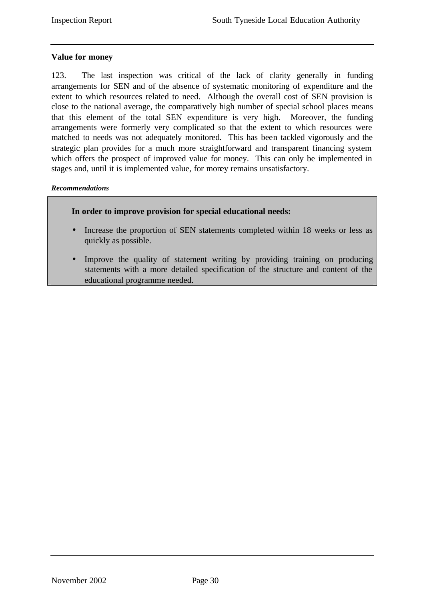# **Value for money**

123. The last inspection was critical of the lack of clarity generally in funding arrangements for SEN and of the absence of systematic monitoring of expenditure and the extent to which resources related to need. Although the overall cost of SEN provision is close to the national average, the comparatively high number of special school places means that this element of the total SEN expenditure is very high. Moreover, the funding arrangements were formerly very complicated so that the extent to which resources were matched to needs was not adequately monitored. This has been tackled vigorously and the strategic plan provides for a much more straightforward and transparent financing system which offers the prospect of improved value for money. This can only be implemented in stages and, until it is implemented value, for money remains unsatisfactory.

#### *Recommendations*



- Increase the proportion of SEN statements completed within 18 weeks or less as quickly as possible.
- Improve the quality of statement writing by providing training on producing statements with a more detailed specification of the structure and content of the educational programme needed.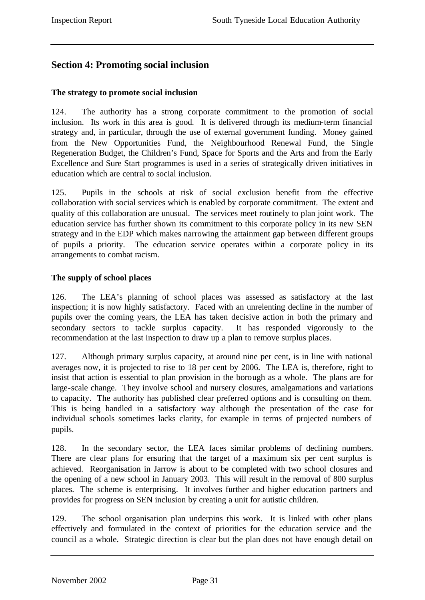# **Section 4: Promoting social inclusion**

#### **The strategy to promote social inclusion**

124. The authority has a strong corporate commitment to the promotion of social inclusion. Its work in this area is good. It is delivered through its medium-term financial strategy and, in particular, through the use of external government funding. Money gained from the New Opportunities Fund, the Neighbourhood Renewal Fund, the Single Regeneration Budget, the Children's Fund, Space for Sports and the Arts and from the Early Excellence and Sure Start programmes is used in a series of strategically driven initiatives in education which are central to social inclusion.

125. Pupils in the schools at risk of social exclusion benefit from the effective collaboration with social services which is enabled by corporate commitment. The extent and quality of this collaboration are unusual. The services meet routinely to plan joint work. The education service has further shown its commitment to this corporate policy in its new SEN strategy and in the EDP which makes narrowing the attainment gap between different groups of pupils a priority. The education service operates within a corporate policy in its arrangements to combat racism.

# **The supply of school places**

126. The LEA's planning of school places was assessed as satisfactory at the last inspection; it is now highly satisfactory. Faced with an unrelenting decline in the number of pupils over the coming years, the LEA has taken decisive action in both the primary and secondary sectors to tackle surplus capacity. It has responded vigorously to the recommendation at the last inspection to draw up a plan to remove surplus places.

127. Although primary surplus capacity, at around nine per cent, is in line with national averages now, it is projected to rise to 18 per cent by 2006. The LEA is, therefore, right to insist that action is essential to plan provision in the borough as a whole. The plans are for large-scale change. They involve school and nursery closures, amalgamations and variations to capacity. The authority has published clear preferred options and is consulting on them. This is being handled in a satisfactory way although the presentation of the case for individual schools sometimes lacks clarity, for example in terms of projected numbers of pupils.

128. In the secondary sector, the LEA faces similar problems of declining numbers. There are clear plans for ensuring that the target of a maximum six per cent surplus is achieved. Reorganisation in Jarrow is about to be completed with two school closures and the opening of a new school in January 2003. This will result in the removal of 800 surplus places. The scheme is enterprising. It involves further and higher education partners and provides for progress on SEN inclusion by creating a unit for autistic children.

129. The school organisation plan underpins this work. It is linked with other plans effectively and formulated in the context of priorities for the education service and the council as a whole. Strategic direction is clear but the plan does not have enough detail on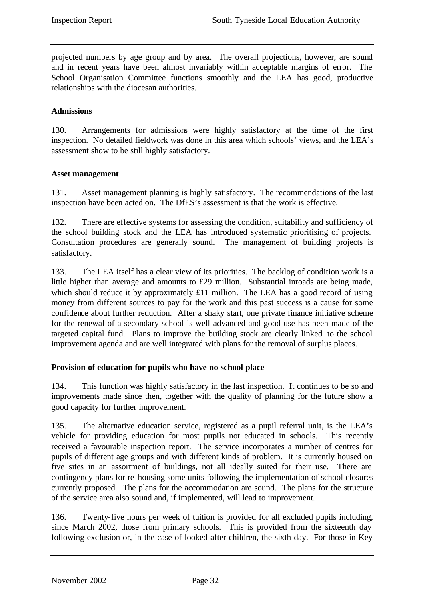projected numbers by age group and by area. The overall projections, however, are sound and in recent years have been almost invariably within acceptable margins of error. The School Organisation Committee functions smoothly and the LEA has good, productive relationships with the diocesan authorities.

# **Admissions**

130. Arrangements for admissions were highly satisfactory at the time of the first inspection. No detailed fieldwork was done in this area which schools' views, and the LEA's assessment show to be still highly satisfactory.

# **Asset management**

131. Asset management planning is highly satisfactory. The recommendations of the last inspection have been acted on. The DfES's assessment is that the work is effective.

132. There are effective systems for assessing the condition, suitability and sufficiency of the school building stock and the LEA has introduced systematic prioritising of projects. Consultation procedures are generally sound. The management of building projects is satisfactory.

133. The LEA itself has a clear view of its priorities. The backlog of condition work is a little higher than average and amounts to £29 million. Substantial inroads are being made, which should reduce it by approximately £11 million. The LEA has a good record of using money from different sources to pay for the work and this past success is a cause for some confidence about further reduction. After a shaky start, one private finance initiative scheme for the renewal of a secondary school is well advanced and good use has been made of the targeted capital fund. Plans to improve the building stock are clearly linked to the school improvement agenda and are well integrated with plans for the removal of surplus places.

# **Provision of education for pupils who have no school place**

134. This function was highly satisfactory in the last inspection. It continues to be so and improvements made since then, together with the quality of planning for the future show a good capacity for further improvement.

135. The alternative education service, registered as a pupil referral unit, is the LEA's vehicle for providing education for most pupils not educated in schools. This recently received a favourable inspection report. The service incorporates a number of centres for pupils of different age groups and with different kinds of problem. It is currently housed on five sites in an assortment of buildings, not all ideally suited for their use. There are contingency plans for re-housing some units following the implementation of school closures currently proposed. The plans for the accommodation are sound. The plans for the structure of the service area also sound and, if implemented, will lead to improvement.

136. Twenty-five hours per week of tuition is provided for all excluded pupils including, since March 2002, those from primary schools. This is provided from the sixteenth day following exclusion or, in the case of looked after children, the sixth day. For those in Key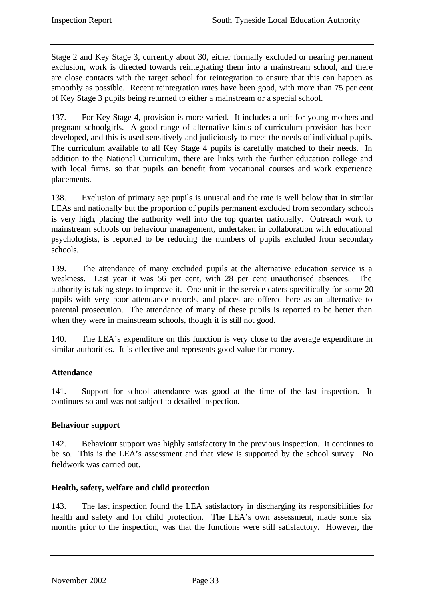Stage 2 and Key Stage 3, currently about 30, either formally excluded or nearing permanent exclusion, work is directed towards reintegrating them into a mainstream school, and there are close contacts with the target school for reintegration to ensure that this can happen as smoothly as possible. Recent reintegration rates have been good, with more than 75 per cent of Key Stage 3 pupils being returned to either a mainstream or a special school.

137. For Key Stage 4, provision is more varied. It includes a unit for young mothers and pregnant schoolgirls. A good range of alternative kinds of curriculum provision has been developed, and this is used sensitively and judiciously to meet the needs of individual pupils. The curriculum available to all Key Stage 4 pupils is carefully matched to their needs. In addition to the National Curriculum, there are links with the further education college and with local firms, so that pupils can benefit from vocational courses and work experience placements.

138. Exclusion of primary age pupils is unusual and the rate is well below that in similar LEAs and nationally but the proportion of pupils permanent excluded from secondary schools is very high, placing the authority well into the top quarter nationally. Outreach work to mainstream schools on behaviour management, undertaken in collaboration with educational psychologists, is reported to be reducing the numbers of pupils excluded from secondary schools.

139. The attendance of many excluded pupils at the alternative education service is a weakness. Last year it was 56 per cent, with 28 per cent unauthorised absences. The authority is taking steps to improve it. One unit in the service caters specifically for some 20 pupils with very poor attendance records, and places are offered here as an alternative to parental prosecution. The attendance of many of these pupils is reported to be better than when they were in mainstream schools, though it is still not good.

140. The LEA's expenditure on this function is very close to the average expenditure in similar authorities. It is effective and represents good value for money.

# **Attendance**

141. Support for school attendance was good at the time of the last inspection. It continues so and was not subject to detailed inspection.

# **Behaviour support**

142. Behaviour support was highly satisfactory in the previous inspection. It continues to be so. This is the LEA's assessment and that view is supported by the school survey. No fieldwork was carried out.

# **Health, safety, welfare and child protection**

143. The last inspection found the LEA satisfactory in discharging its responsibilities for health and safety and for child protection. The LEA's own assessment, made some six months prior to the inspection, was that the functions were still satisfactory. However, the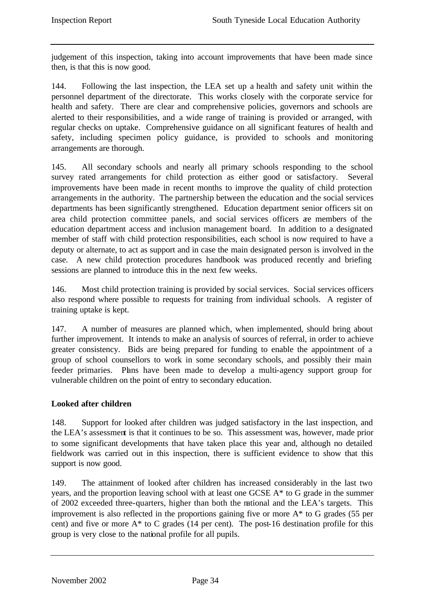judgement of this inspection, taking into account improvements that have been made since then, is that this is now good.

144. Following the last inspection, the LEA set up a health and safety unit within the personnel department of the directorate. This works closely with the corporate service for health and safety. There are clear and comprehensive policies, governors and schools are alerted to their responsibilities, and a wide range of training is provided or arranged, with regular checks on uptake. Comprehensive guidance on all significant features of health and safety, including specimen policy guidance, is provided to schools and monitoring arrangements are thorough.

145. All secondary schools and nearly all primary schools responding to the school survey rated arrangements for child protection as either good or satisfactory. Several improvements have been made in recent months to improve the quality of child protection arrangements in the authority. The partnership between the education and the social services departments has been significantly strengthened. Education department senior officers sit on area child protection committee panels, and social services officers are members of the education department access and inclusion management board. In addition to a designated member of staff with child protection responsibilities, each school is now required to have a deputy or alternate, to act as support and in case the main designated person is involved in the case. A new child protection procedures handbook was produced recently and briefing sessions are planned to introduce this in the next few weeks.

146. Most child protection training is provided by social services. Social services officers also respond where possible to requests for training from individual schools. A register of training uptake is kept.

147. A number of measures are planned which, when implemented, should bring about further improvement. It intends to make an analysis of sources of referral, in order to achieve greater consistency. Bids are being prepared for funding to enable the appointment of a group of school counsellors to work in some secondary schools, and possibly their main feeder primaries. Plans have been made to develop a multi-agency support group for vulnerable children on the point of entry to secondary education.

# **Looked after children**

148. Support for looked after children was judged satisfactory in the last inspection, and the LEA's assessment is that it continues to be so. This assessment was, however, made prior to some significant developments that have taken place this year and, although no detailed fieldwork was carried out in this inspection, there is sufficient evidence to show that this support is now good.

149. The attainment of looked after children has increased considerably in the last two years, and the proportion leaving school with at least one GCSE A\* to G grade in the summer of 2002 exceeded three-quarters, higher than both the national and the LEA's targets. This improvement is also reflected in the proportions gaining five or more  $A^*$  to G grades (55 per cent) and five or more  $A^*$  to C grades (14 per cent). The post-16 destination profile for this group is very close to the national profile for all pupils.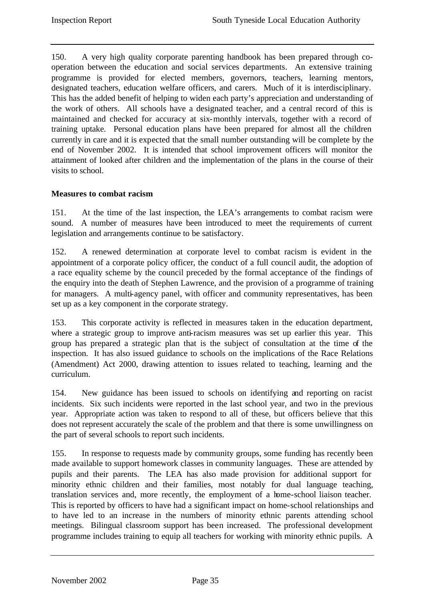150. A very high quality corporate parenting handbook has been prepared through cooperation between the education and social services departments. An extensive training programme is provided for elected members, governors, teachers, learning mentors, designated teachers, education welfare officers, and carers. Much of it is interdisciplinary. This has the added benefit of helping to widen each party's appreciation and understanding of the work of others. All schools have a designated teacher, and a central record of this is maintained and checked for accuracy at six-monthly intervals, together with a record of training uptake. Personal education plans have been prepared for almost all the children currently in care and it is expected that the small number outstanding will be complete by the end of November 2002. It is intended that school improvement officers will monitor the attainment of looked after children and the implementation of the plans in the course of their visits to school.

# **Measures to combat racism**

151. At the time of the last inspection, the LEA's arrangements to combat racism were sound. A number of measures have been introduced to meet the requirements of current legislation and arrangements continue to be satisfactory.

152. A renewed determination at corporate level to combat racism is evident in the appointment of a corporate policy officer, the conduct of a full council audit, the adoption of a race equality scheme by the council preceded by the formal acceptance of the findings of the enquiry into the death of Stephen Lawrence, and the provision of a programme of training for managers. A multi-agency panel, with officer and community representatives, has been set up as a key component in the corporate strategy.

153. This corporate activity is reflected in measures taken in the education department, where a strategic group to improve anti-racism measures was set up earlier this year. This group has prepared a strategic plan that is the subject of consultation at the time of the inspection. It has also issued guidance to schools on the implications of the Race Relations (Amendment) Act 2000, drawing attention to issues related to teaching, learning and the curriculum.

154. New guidance has been issued to schools on identifying and reporting on racist incidents. Six such incidents were reported in the last school year, and two in the previous year. Appropriate action was taken to respond to all of these, but officers believe that this does not represent accurately the scale of the problem and that there is some unwillingness on the part of several schools to report such incidents.

155. In response to requests made by community groups, some funding has recently been made available to support homework classes in community languages. These are attended by pupils and their parents. The LEA has also made provision for additional support for minority ethnic children and their families, most notably for dual language teaching, translation services and, more recently, the employment of a home-school liaison teacher. This is reported by officers to have had a significant impact on home-school relationships and to have led to an increase in the numbers of minority ethnic parents attending school meetings. Bilingual classroom support has been increased. The professional development programme includes training to equip all teachers for working with minority ethnic pupils. A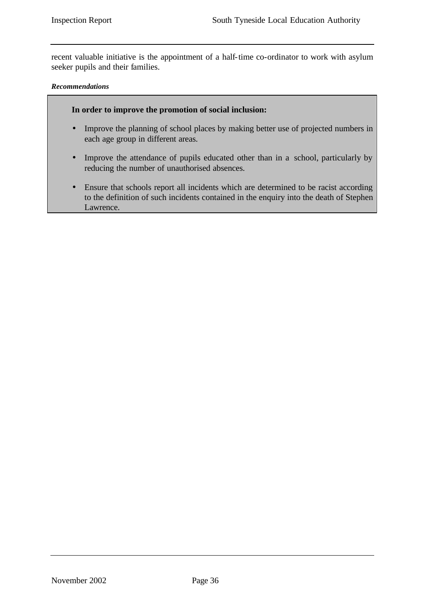recent valuable initiative is the appointment of a half-time co-ordinator to work with asylum seeker pupils and their families.

#### *Recommendations*

#### **In order to improve the promotion of social inclusion:**

- Improve the planning of school places by making better use of projected numbers in each age group in different areas.
- Improve the attendance of pupils educated other than in a school, particularly by reducing the number of unauthorised absences.
- Ensure that schools report all incidents which are determined to be racist according to the definition of such incidents contained in the enquiry into the death of Stephen Lawrence.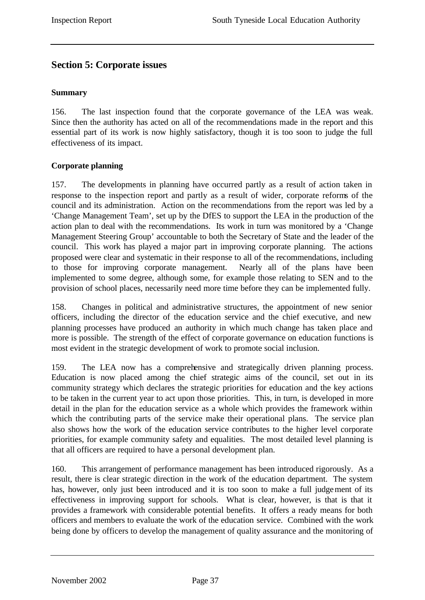# **Section 5: Corporate issues**

# **Summary**

156. The last inspection found that the corporate governance of the LEA was weak. Since then the authority has acted on all of the recommendations made in the report and this essential part of its work is now highly satisfactory, though it is too soon to judge the full effectiveness of its impact.

# **Corporate planning**

157. The developments in planning have occurred partly as a result of action taken in response to the inspection report and partly as a result of wider, corporate reforms of the council and its administration. Action on the recommendations from the report was led by a 'Change Management Team', set up by the DfES to support the LEA in the production of the action plan to deal with the recommendations. Its work in turn was monitored by a 'Change Management Steering Group' accountable to both the Secretary of State and the leader of the council. This work has played a major part in improving corporate planning. The actions proposed were clear and systematic in their response to all of the recommendations, including to those for improving corporate management. Nearly all of the plans have been implemented to some degree, although some, for example those relating to SEN and to the provision of school places, necessarily need more time before they can be implemented fully.

158. Changes in political and administrative structures, the appointment of new senior officers, including the director of the education service and the chief executive, and new planning processes have produced an authority in which much change has taken place and more is possible. The strength of the effect of corporate governance on education functions is most evident in the strategic development of work to promote social inclusion.

159. The LEA now has a comprehensive and strategically driven planning process. Education is now placed among the chief strategic aims of the council, set out in its community strategy which declares the strategic priorities for education and the key actions to be taken in the current year to act upon those priorities. This, in turn, is developed in more detail in the plan for the education service as a whole which provides the framework within which the contributing parts of the service make their operational plans. The service plan also shows how the work of the education service contributes to the higher level corporate priorities, for example community safety and equalities. The most detailed level planning is that all officers are required to have a personal development plan.

160. This arrangement of performance management has been introduced rigorously. As a result, there is clear strategic direction in the work of the education department. The system has, however, only just been introduced and it is too soon to make a full judgement of its effectiveness in improving support for schools. What is clear, however, is that is that it provides a framework with considerable potential benefits. It offers a ready means for both officers and members to evaluate the work of the education service. Combined with the work being done by officers to develop the management of quality assurance and the monitoring of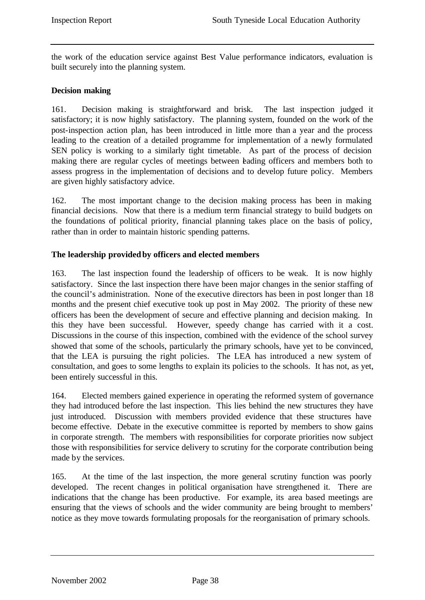the work of the education service against Best Value performance indicators, evaluation is built securely into the planning system.

# **Decision making**

161. Decision making is straightforward and brisk. The last inspection judged it satisfactory; it is now highly satisfactory. The planning system, founded on the work of the post-inspection action plan, has been introduced in little more than a year and the process leading to the creation of a detailed programme for implementation of a newly formulated SEN policy is working to a similarly tight timetable. As part of the process of decision making there are regular cycles of meetings between bading officers and members both to assess progress in the implementation of decisions and to develop future policy. Members are given highly satisfactory advice.

162. The most important change to the decision making process has been in making financial decisions. Now that there is a medium term financial strategy to build budgets on the foundations of political priority, financial planning takes place on the basis of policy, rather than in order to maintain historic spending patterns.

#### **The leadership provided by officers and elected members**

163. The last inspection found the leadership of officers to be weak. It is now highly satisfactory. Since the last inspection there have been major changes in the senior staffing of the council's administration. None of the executive directors has been in post longer than 18 months and the present chief executive took up post in May 2002. The priority of these new officers has been the development of secure and effective planning and decision making. In this they have been successful. However, speedy change has carried with it a cost. Discussions in the course of this inspection, combined with the evidence of the school survey showed that some of the schools, particularly the primary schools, have yet to be convinced, that the LEA is pursuing the right policies. The LEA has introduced a new system of consultation, and goes to some lengths to explain its policies to the schools. It has not, as yet, been entirely successful in this.

164. Elected members gained experience in operating the reformed system of governance they had introduced before the last inspection. This lies behind the new structures they have just introduced. Discussion with members provided evidence that these structures have become effective. Debate in the executive committee is reported by members to show gains in corporate strength. The members with responsibilities for corporate priorities now subject those with responsibilities for service delivery to scrutiny for the corporate contribution being made by the services.

165. At the time of the last inspection, the more general scrutiny function was poorly developed. The recent changes in political organisation have strengthened it. There are indications that the change has been productive. For example, its area based meetings are ensuring that the views of schools and the wider community are being brought to members' notice as they move towards formulating proposals for the reorganisation of primary schools.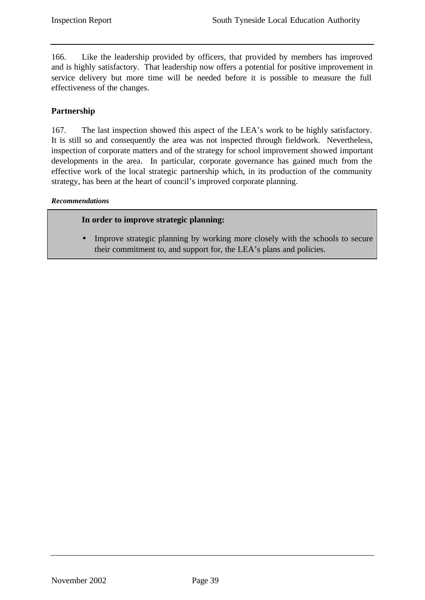166. Like the leadership provided by officers, that provided by members has improved and is highly satisfactory. That leadership now offers a potential for positive improvement in service delivery but more time will be needed before it is possible to measure the full effectiveness of the changes.

# **Partnership**

167. The last inspection showed this aspect of the LEA's work to be highly satisfactory. It is still so and consequently the area was not inspected through fieldwork. Nevertheless, inspection of corporate matters and of the strategy for school improvement showed important developments in the area. In particular, corporate governance has gained much from the effective work of the local strategic partnership which, in its production of the community strategy, has been at the heart of council's improved corporate planning.

#### *Recommendations*

#### **In order to improve strategic planning:**

• Improve strategic planning by working more closely with the schools to secure their commitment to, and support for, the LEA's plans and policies.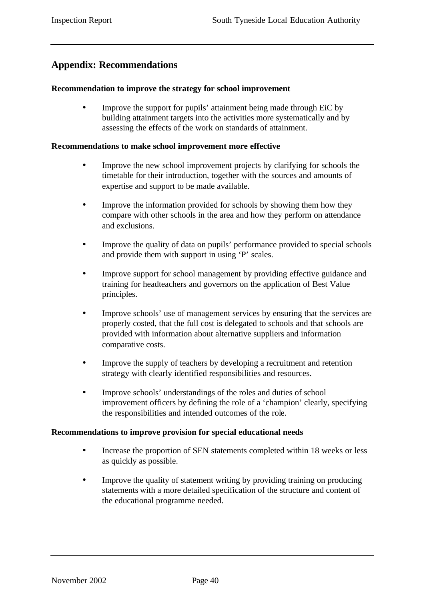# **Appendix: Recommendations**

#### **Recommendation to improve the strategy for school improvement**

Improve the support for pupils' attainment being made through EiC by building attainment targets into the activities more systematically and by assessing the effects of the work on standards of attainment.

#### **Recommendations to make school improvement more effective**

- Improve the new school improvement projects by clarifying for schools the timetable for their introduction, together with the sources and amounts of expertise and support to be made available.
- Improve the information provided for schools by showing them how they compare with other schools in the area and how they perform on attendance and exclusions.
- Improve the quality of data on pupils' performance provided to special schools and provide them with support in using 'P' scales.
- Improve support for school management by providing effective guidance and training for headteachers and governors on the application of Best Value principles.
- Improve schools' use of management services by ensuring that the services are properly costed, that the full cost is delegated to schools and that schools are provided with information about alternative suppliers and information comparative costs.
- Improve the supply of teachers by developing a recruitment and retention strategy with clearly identified responsibilities and resources.
- Improve schools' understandings of the roles and duties of school improvement officers by defining the role of a 'champion' clearly, specifying the responsibilities and intended outcomes of the role.

#### **Recommendations to improve provision for special educational needs**

- Increase the proportion of SEN statements completed within 18 weeks or less as quickly as possible.
- Improve the quality of statement writing by providing training on producing statements with a more detailed specification of the structure and content of the educational programme needed.